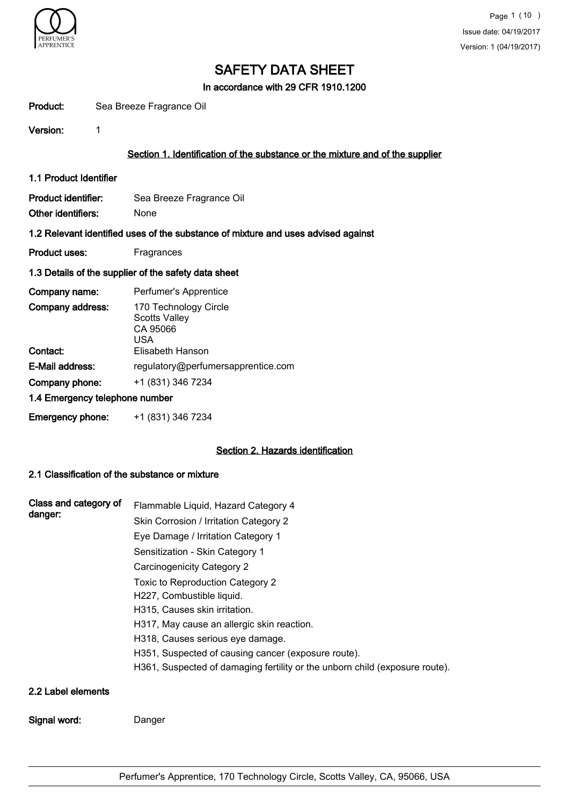

In accordance with 29 CFR 1910.1200

| Product:<br>Sea Breeze Fragrance Oil |  |
|--------------------------------------|--|
|--------------------------------------|--|

Version: 1

## Section 1. Identification of the substance or the mixture and of the supplier

1.1 Product Identifier

Product identifier: Sea Breeze Fragrance Oil Other identifiers: None

#### 1.2 Relevant identified uses of the substance of mixture and uses advised against

Product uses: Fragrances

#### 1.3 Details of the supplier of the safety data sheet

| Company name:                  | Perfumer's Apprentice                                                                |
|--------------------------------|--------------------------------------------------------------------------------------|
| Company address:<br>Contact:   | 170 Technology Circle<br><b>Scotts Valley</b><br>CA 95066<br>USA<br>Elisabeth Hanson |
| E-Mail address:                | regulatory@perfumersapprentice.com                                                   |
| Company phone:                 | +1 (831) 346 7234                                                                    |
| 1.4 Emergency telephone number |                                                                                      |
| <b>Emergency phone:</b>        | +1 (831) 346 7234                                                                    |

### Section 2. Hazards identification

### 2.1 Classification of the substance or mixture

| Class and category of<br>danger: | Flammable Liquid, Hazard Category 4<br>Skin Corrosion / Irritation Category 2<br>Eye Damage / Irritation Category 1<br>Sensitization - Skin Category 1<br><b>Carcinogenicity Category 2</b>                                                                                                                            |
|----------------------------------|------------------------------------------------------------------------------------------------------------------------------------------------------------------------------------------------------------------------------------------------------------------------------------------------------------------------|
|                                  | Toxic to Reproduction Category 2<br>H227, Combustible liquid.<br>H315, Causes skin irritation.<br>H317, May cause an allergic skin reaction.<br>H318, Causes serious eye damage.<br>H351, Suspected of causing cancer (exposure route).<br>H361, Suspected of damaging fertility or the unborn child (exposure route). |
| 2.2 Label elements               |                                                                                                                                                                                                                                                                                                                        |
| Signal word:                     | Danger                                                                                                                                                                                                                                                                                                                 |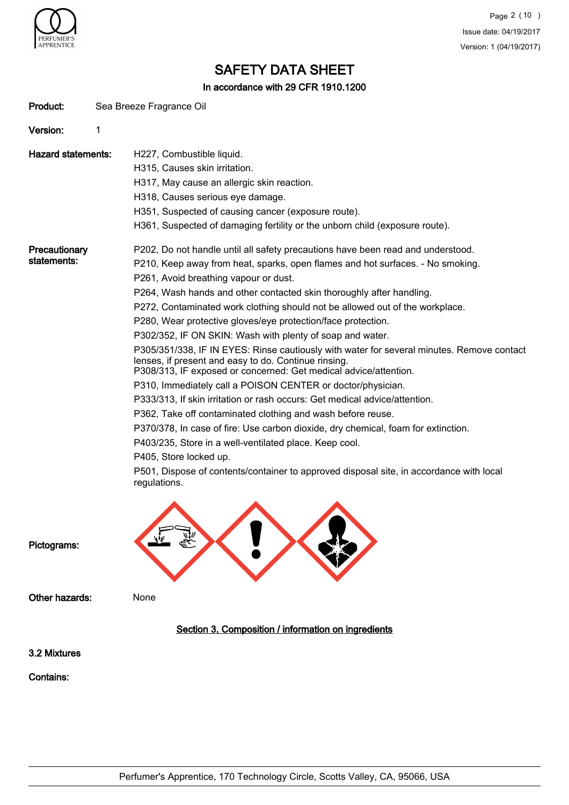

In accordance with 29 CFR 1910.1200

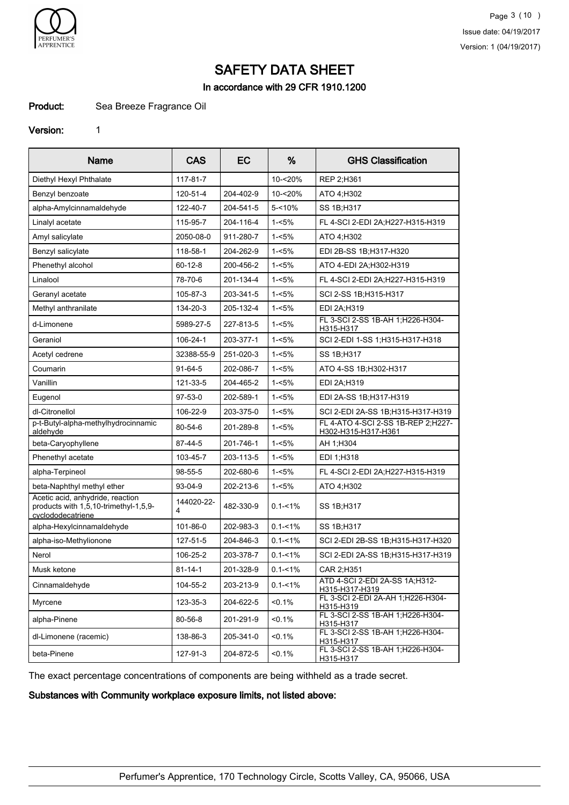

In accordance with 29 CFR 1910.1200

## Product: Sea Breeze Fragrance Oil

#### Version: 1

| <b>Name</b>                                                                                    | <b>CAS</b>      | EC        | %           | <b>GHS Classification</b>                                 |
|------------------------------------------------------------------------------------------------|-----------------|-----------|-------------|-----------------------------------------------------------|
| Diethyl Hexyl Phthalate                                                                        | 117-81-7        |           | 10-<20%     | REP 2:H361                                                |
| Benzyl benzoate                                                                                | 120-51-4        | 204-402-9 | 10-<20%     | ATO 4:H302                                                |
| alpha-Amylcinnamaldehyde                                                                       | 122-40-7        | 204-541-5 | $5 - 10%$   | SS 1B;H317                                                |
| Linalyl acetate                                                                                | 115-95-7        | 204-116-4 | $1 - 5%$    | FL 4-SCI 2-EDI 2A;H227-H315-H319                          |
| Amyl salicylate                                                                                | 2050-08-0       | 911-280-7 | $1 - 5%$    | ATO 4:H302                                                |
| Benzyl salicylate                                                                              | 118-58-1        | 204-262-9 | $1 - 5%$    | EDI 2B-SS 1B:H317-H320                                    |
| Phenethyl alcohol                                                                              | $60 - 12 - 8$   | 200-456-2 | $1 - 5%$    | ATO 4-EDI 2A;H302-H319                                    |
| Linalool                                                                                       | 78-70-6         | 201-134-4 | $1 - 5%$    | FL 4-SCI 2-EDI 2A;H227-H315-H319                          |
| Geranyl acetate                                                                                | 105-87-3        | 203-341-5 | $1 - 5%$    | SCI 2-SS 1B: H315-H317                                    |
| Methyl anthranilate                                                                            | 134-20-3        | 205-132-4 | $1 - 5%$    | EDI 2A;H319                                               |
| d-Limonene                                                                                     | 5989-27-5       | 227-813-5 | $1 - 5%$    | FL 3-SCI 2-SS 1B-AH 1; H226-H304-<br>H315-H317            |
| Geraniol                                                                                       | 106-24-1        | 203-377-1 | $1 - 5%$    | SCI 2-EDI 1-SS 1; H315-H317-H318                          |
| Acetyl cedrene                                                                                 | 32388-55-9      | 251-020-3 | $1 - 5%$    | SS 1B;H317                                                |
| Coumarin                                                                                       | $91-64-5$       | 202-086-7 | $1 - 5%$    | ATO 4-SS 1B; H302-H317                                    |
| Vanillin                                                                                       | 121-33-5        | 204-465-2 | $1 - 5%$    | EDI 2A;H319                                               |
| Eugenol                                                                                        | 97-53-0         | 202-589-1 | $1 - 5%$    | EDI 2A-SS 1B; H317-H319                                   |
| dl-Citronellol                                                                                 | 106-22-9        | 203-375-0 | $1 - 5%$    | SCI 2-EDI 2A-SS 1B;H315-H317-H319                         |
| p-t-Butyl-alpha-methylhydrocinnamic<br>aldehyde                                                | 80-54-6         | 201-289-8 | $1 - 5%$    | FL 4-ATO 4-SCI 2-SS 1B-REP 2:H227-<br>H302-H315-H317-H361 |
| beta-Caryophyllene                                                                             | 87-44-5         | 201-746-1 | $1 - 5%$    | AH 1:H304                                                 |
| Phenethyl acetate                                                                              | 103-45-7        | 203-113-5 | $1 - 5%$    | EDI 1:H318                                                |
| alpha-Terpineol                                                                                | 98-55-5         | 202-680-6 | $1 - 5%$    | FL 4-SCI 2-EDI 2A;H227-H315-H319                          |
| beta-Naphthyl methyl ether                                                                     | 93-04-9         | 202-213-6 | $1 - 5%$    | ATO 4;H302                                                |
| Acetic acid, anhydride, reaction<br>products with 1,5,10-trimethyl-1,5,9-<br>cyclododecatriene | 144020-22-<br>4 | 482-330-9 | $0.1 - 1\%$ | SS 1B:H317                                                |
| alpha-Hexylcinnamaldehyde                                                                      | 101-86-0        | 202-983-3 | $0.1 - 1\%$ | SS 1B; H317                                               |
| alpha-iso-Methylionone                                                                         | 127-51-5        | 204-846-3 | $0.1 - 1\%$ | SCI 2-EDI 2B-SS 1B:H315-H317-H320                         |
| Nerol                                                                                          | 106-25-2        | 203-378-7 | $0.1 - 1\%$ | SCI 2-EDI 2A-SS 1B;H315-H317-H319                         |
| Musk ketone                                                                                    | $81 - 14 - 1$   | 201-328-9 | $0.1 - 1\%$ | CAR 2:H351                                                |
| Cinnamaldehyde                                                                                 | 104-55-2        | 203-213-9 | $0.1 - 1\%$ | ATD 4-SCI 2-EDI 2A-SS 1A;H312-<br>H315-H317-H319          |
| Myrcene                                                                                        | 123-35-3        | 204-622-5 | $< 0.1\%$   | FL 3-SCI 2-EDI 2A-AH 1;H226-H304-<br>H315-H319            |
| alpha-Pinene                                                                                   | 80-56-8         | 201-291-9 | $< 0.1\%$   | FL 3-SCI 2-SS 1B-AH 1; H226-H304-<br>H315-H317            |
| dl-Limonene (racemic)                                                                          | 138-86-3        | 205-341-0 | $< 0.1\%$   | FL 3-SCI 2-SS 1B-AH 1;H226-H304-<br>H315-H317             |
| beta-Pinene                                                                                    | 127-91-3        | 204-872-5 | $< 0.1\%$   | FL 3-SCI 2-SS 1B-AH 1; H226-H304-<br>H315-H317            |

The exact percentage concentrations of components are being withheld as a trade secret.

Substances with Community workplace exposure limits, not listed above: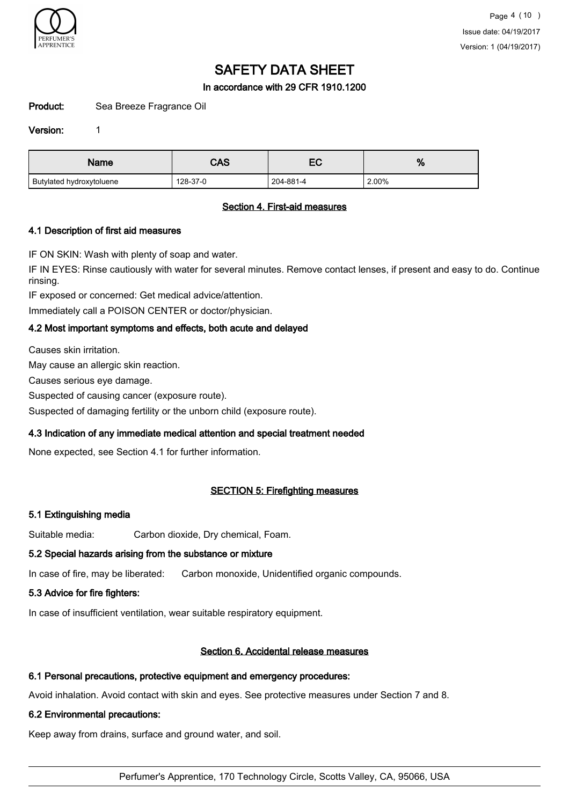

### In accordance with 29 CFR 1910.1200

Product: Sea Breeze Fragrance Oil

#### Version: 1

| Name                     | CAS      | — с<br>ᇊ  | %     |
|--------------------------|----------|-----------|-------|
| Butylated hydroxytoluene | 128-37-0 | 204-881-4 | 2.00% |

#### Section 4. First-aid measures

### 4.1 Description of first aid measures

IF ON SKIN: Wash with plenty of soap and water.

IF IN EYES: Rinse cautiously with water for several minutes. Remove contact lenses, if present and easy to do. Continue rinsing.

IF exposed or concerned: Get medical advice/attention.

Immediately call a POISON CENTER or doctor/physician.

### 4.2 Most important symptoms and effects, both acute and delayed

Causes skin irritation.

May cause an allergic skin reaction.

Causes serious eye damage.

Suspected of causing cancer (exposure route).

Suspected of damaging fertility or the unborn child (exposure route).

#### 4.3 Indication of any immediate medical attention and special treatment needed

None expected, see Section 4.1 for further information.

## SECTION 5: Firefighting measures

#### 5.1 Extinguishing media

Suitable media: Carbon dioxide, Dry chemical, Foam.

#### 5.2 Special hazards arising from the substance or mixture

In case of fire, may be liberated: Carbon monoxide, Unidentified organic compounds.

#### 5.3 Advice for fire fighters:

In case of insufficient ventilation, wear suitable respiratory equipment.

## Section 6. Accidental release measures

## 6.1 Personal precautions, protective equipment and emergency procedures:

Avoid inhalation. Avoid contact with skin and eyes. See protective measures under Section 7 and 8.

## 6.2 Environmental precautions:

Keep away from drains, surface and ground water, and soil.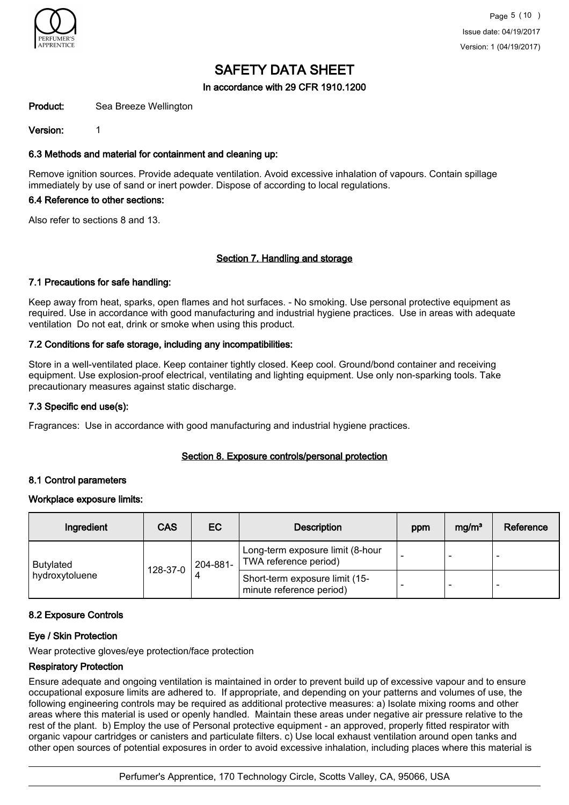

### In accordance with 29 CFR 1910.1200

Product: Sea Breeze Wellington

Version: 1

### 6.3 Methods and material for containment and cleaning up:

Remove ignition sources. Provide adequate ventilation. Avoid excessive inhalation of vapours. Contain spillage immediately by use of sand or inert powder. Dispose of according to local regulations.

#### 6.4 Reference to other sections:

Also refer to sections 8 and 13.

#### Section 7. Handling and storage

#### 7.1 Precautions for safe handling:

Keep away from heat, sparks, open flames and hot surfaces. - No smoking. Use personal protective equipment as required. Use in accordance with good manufacturing and industrial hygiene practices. Use in areas with adequate ventilation Do not eat, drink or smoke when using this product.

### 7.2 Conditions for safe storage, including any incompatibilities:

Store in a well-ventilated place. Keep container tightly closed. Keep cool. Ground/bond container and receiving equipment. Use explosion-proof electrical, ventilating and lighting equipment. Use only non-sparking tools. Take precautionary measures against static discharge.

#### 7.3 Specific end use(s):

Fragrances: Use in accordance with good manufacturing and industrial hygiene practices.

#### Section 8. Exposure controls/personal protection

#### 8.1 Control parameters

#### Workplace exposure limits:

| Ingredient       | <b>CAS</b> | EC.      | <b>Description</b>                                         | ppm | mg/m <sup>3</sup> | Reference |
|------------------|------------|----------|------------------------------------------------------------|-----|-------------------|-----------|
| <b>Butylated</b> | 128-37-0   | 204-881- | Long-term exposure limit (8-hour<br>TWA reference period)  |     | -                 |           |
| hydroxytoluene   |            |          | Short-term exposure limit (15-<br>minute reference period) |     | -                 | -         |

#### 8.2 Exposure Controls

#### Eye / Skin Protection

Wear protective gloves/eye protection/face protection

#### Respiratory Protection

Ensure adequate and ongoing ventilation is maintained in order to prevent build up of excessive vapour and to ensure occupational exposure limits are adhered to. If appropriate, and depending on your patterns and volumes of use, the following engineering controls may be required as additional protective measures: a) Isolate mixing rooms and other areas where this material is used or openly handled. Maintain these areas under negative air pressure relative to the rest of the plant. b) Employ the use of Personal protective equipment - an approved, properly fitted respirator with organic vapour cartridges or canisters and particulate filters. c) Use local exhaust ventilation around open tanks and other open sources of potential exposures in order to avoid excessive inhalation, including places where this material is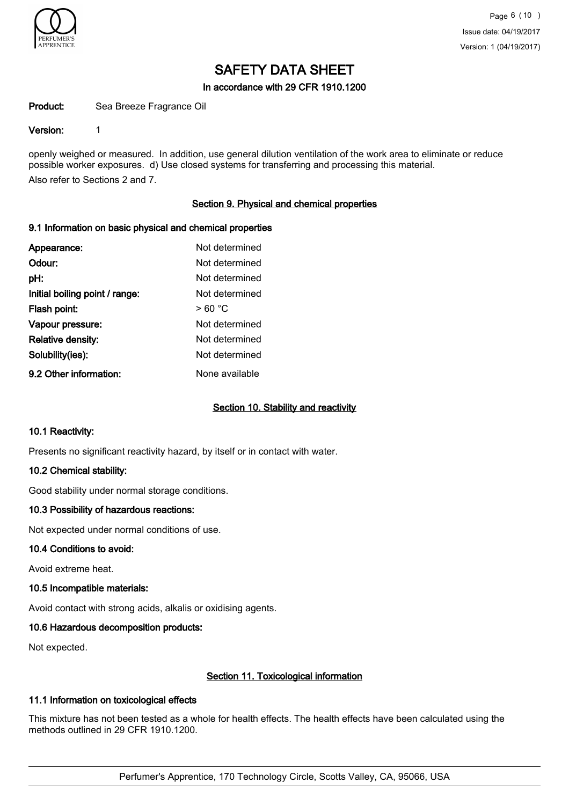

#### In accordance with 29 CFR 1910.1200

#### Product: Sea Breeze Fragrance Oil

#### Version: 1

openly weighed or measured. In addition, use general dilution ventilation of the work area to eliminate or reduce possible worker exposures. d) Use closed systems for transferring and processing this material. Also refer to Sections 2 and 7.

#### Section 9. Physical and chemical properties

#### 9.1 Information on basic physical and chemical properties

| Appearance:                    | Not determined |
|--------------------------------|----------------|
| Odour:                         | Not determined |
| pH:                            | Not determined |
| Initial boiling point / range: | Not determined |
| Flash point:                   | >60 °C         |
| Vapour pressure:               | Not determined |
| <b>Relative density:</b>       | Not determined |
| Solubility(ies):               | Not determined |
| 9.2 Other information:         | None available |

#### Section 10. Stability and reactivity

#### 10.1 Reactivity:

Presents no significant reactivity hazard, by itself or in contact with water.

#### 10.2 Chemical stability:

Good stability under normal storage conditions.

#### 10.3 Possibility of hazardous reactions:

Not expected under normal conditions of use.

#### 10.4 Conditions to avoid:

Avoid extreme heat.

#### 10.5 Incompatible materials:

Avoid contact with strong acids, alkalis or oxidising agents.

#### 10.6 Hazardous decomposition products:

Not expected.

#### Section 11. Toxicological information

#### 11.1 Information on toxicological effects

This mixture has not been tested as a whole for health effects. The health effects have been calculated using the methods outlined in 29 CFR 1910.1200.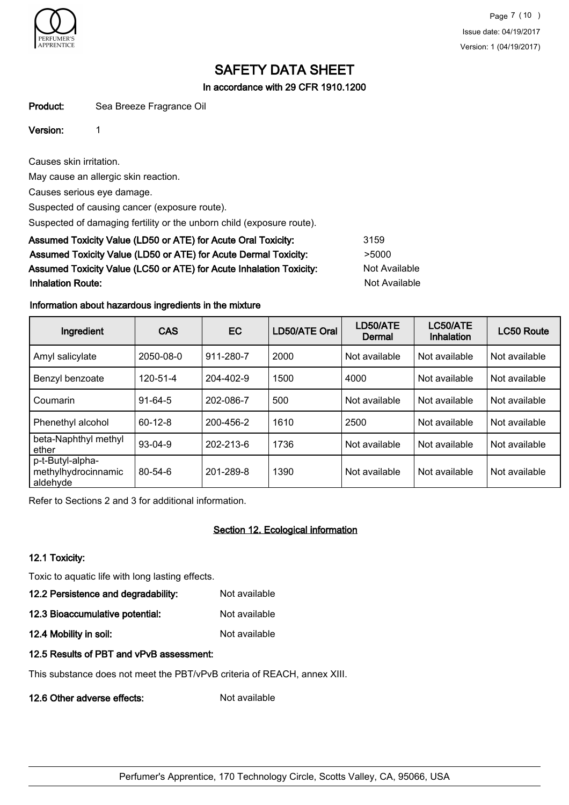

In accordance with 29 CFR 1910.1200

Product: Sea Breeze Fragrance Oil

### Version: 1

Causes skin irritation.

May cause an allergic skin reaction.

Causes serious eye damage.

Suspected of causing cancer (exposure route).

Suspected of damaging fertility or the unborn child (exposure route).

| Assumed Toxicity Value (LD50 or ATE) for Acute Oral Toxicity:       | 3159          |
|---------------------------------------------------------------------|---------------|
| Assumed Toxicity Value (LD50 or ATE) for Acute Dermal Toxicity:     | >5000         |
| Assumed Toxicity Value (LC50 or ATE) for Acute Inhalation Toxicity: | Not Available |
| <b>Inhalation Route:</b>                                            | Not Available |

### Information about hazardous ingredients in the mixture

| Ingredient                                          | <b>CAS</b>    | EC        | LD50/ATE Oral | LD50/ATE<br><b>Dermal</b> | LC50/ATE<br><b>Inhalation</b> | <b>LC50 Route</b> |
|-----------------------------------------------------|---------------|-----------|---------------|---------------------------|-------------------------------|-------------------|
| Amyl salicylate                                     | 2050-08-0     | 911-280-7 | 2000          | Not available             | Not available                 | Not available     |
| Benzyl benzoate                                     | 120-51-4      | 204-402-9 | 1500          | 4000                      | Not available                 | Not available     |
| Coumarin                                            | $91 - 64 - 5$ | 202-086-7 | 500           | Not available             | Not available                 | Not available     |
| Phenethyl alcohol                                   | $60-12-8$     | 200-456-2 | 1610          | 2500                      | Not available                 | Not available     |
| beta-Naphthyl methyl<br>ether                       | $93-04-9$     | 202-213-6 | 1736          | Not available             | Not available                 | Not available     |
| p-t-Butyl-alpha-<br>methylhydrocinnamic<br>aldehyde | $80 - 54 - 6$ | 201-289-8 | 1390          | Not available             | Not available                 | Not available     |

Refer to Sections 2 and 3 for additional information.

## Section 12. Ecological information

## 12.1 Toxicity:

Toxic to aquatic life with long lasting effects.

12.2 Persistence and degradability: Not available

12.3 Bioaccumulative potential: Not available

12.4 Mobility in soil: Not available

## 12.5 Results of PBT and vPvB assessment:

This substance does not meet the PBT/vPvB criteria of REACH, annex XIII.

12.6 Other adverse effects: Not available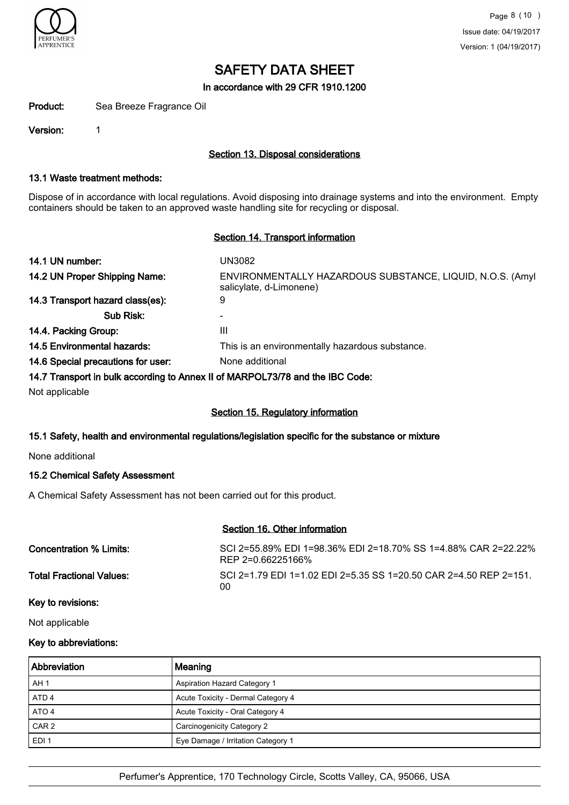

In accordance with 29 CFR 1910.1200

Product: Sea Breeze Fragrance Oil

Version: 1

## Section 13. Disposal considerations

#### 13.1 Waste treatment methods:

Dispose of in accordance with local regulations. Avoid disposing into drainage systems and into the environment. Empty containers should be taken to an approved waste handling site for recycling or disposal.

#### Section 14. Transport information

| 14.1 UN number:                    | UN3082                                                                               |
|------------------------------------|--------------------------------------------------------------------------------------|
| 14.2 UN Proper Shipping Name:      | ENVIRONMENTALLY HAZARDOUS SUBSTANCE, LIQUID, N.O.S. (Amyl<br>salicylate, d-Limonene) |
| 14.3 Transport hazard class(es):   | 9                                                                                    |
| Sub Risk:                          |                                                                                      |
| 14.4. Packing Group:               | Ш                                                                                    |
| 14.5 Environmental hazards:        | This is an environmentally hazardous substance.                                      |
| 14.6 Special precautions for user: | None additional                                                                      |
|                                    |                                                                                      |

#### 14.7 Transport in bulk according to Annex II of MARPOL73/78 and the IBC Code:

Not applicable

#### Section 15. Regulatory information

#### 15.1 Safety, health and environmental regulations/legislation specific for the substance or mixture

None additional

#### 15.2 Chemical Safety Assessment

A Chemical Safety Assessment has not been carried out for this product.

#### Section 16. Other information

Concentration % Limits: SCI 2=55.89% EDI 1=98.36% EDI 2=18.70% SS 1=4.88% CAR 2=22.22% REP 2=0.66225166% Total Fractional Values: SCI 2=1.79 EDI 1=1.02 EDI 2=5.35 SS 1=20.50 CAR 2=4.50 REP 2=151. 00

### Key to revisions:

Not applicable

### Key to abbreviations:

| <b>Abbreviation</b> | Meaning                             |
|---------------------|-------------------------------------|
| AH <sub>1</sub>     | <b>Aspiration Hazard Category 1</b> |
| ATD <sub>4</sub>    | Acute Toxicity - Dermal Category 4  |
| ATO 4               | Acute Toxicity - Oral Category 4    |
| CAR <sub>2</sub>    | Carcinogenicity Category 2          |
| EDI <sub>1</sub>    | Eye Damage / Irritation Category 1  |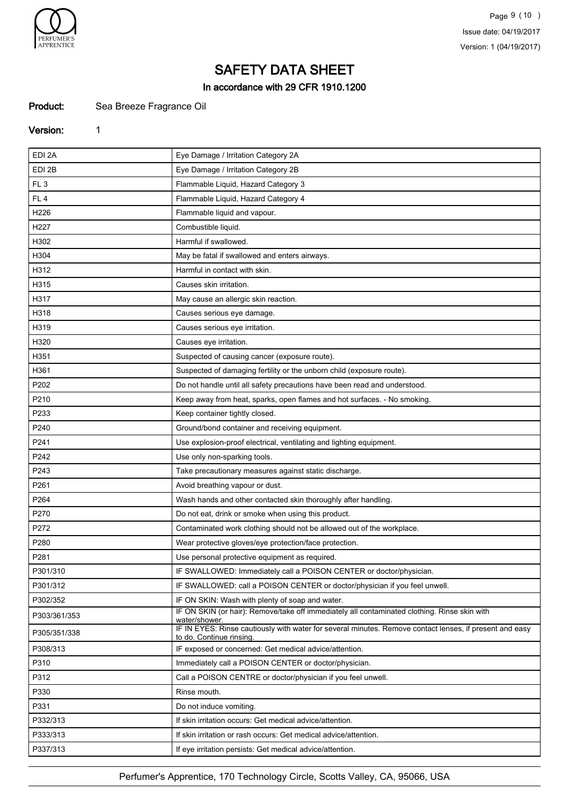

In accordance with 29 CFR 1910.1200

## Product: Sea Breeze Fragrance Oil

#### Version: 1

| EDI 2A          | Eye Damage / Irritation Category 2A                                                                                                |
|-----------------|------------------------------------------------------------------------------------------------------------------------------------|
| EDI 2B          | Eye Damage / Irritation Category 2B                                                                                                |
| FL <sub>3</sub> | Flammable Liquid, Hazard Category 3                                                                                                |
| FL <sub>4</sub> | Flammable Liquid, Hazard Category 4                                                                                                |
| H226            | Flammable liquid and vapour.                                                                                                       |
| H227            | Combustible liquid.                                                                                                                |
| H302            | Harmful if swallowed.                                                                                                              |
| H304            | May be fatal if swallowed and enters airways.                                                                                      |
| H312            | Harmful in contact with skin.                                                                                                      |
| H315            | Causes skin irritation.                                                                                                            |
| H317            | May cause an allergic skin reaction.                                                                                               |
| H318            | Causes serious eye damage.                                                                                                         |
| H319            | Causes serious eye irritation.                                                                                                     |
| H320            | Causes eye irritation.                                                                                                             |
| H351            | Suspected of causing cancer (exposure route).                                                                                      |
| H361            | Suspected of damaging fertility or the unborn child (exposure route).                                                              |
| P202            | Do not handle until all safety precautions have been read and understood.                                                          |
| P210            | Keep away from heat, sparks, open flames and hot surfaces. - No smoking.                                                           |
| P233            | Keep container tightly closed.                                                                                                     |
| P240            | Ground/bond container and receiving equipment.                                                                                     |
| P241            | Use explosion-proof electrical, ventilating and lighting equipment.                                                                |
| P242            | Use only non-sparking tools.                                                                                                       |
| P243            | Take precautionary measures against static discharge.                                                                              |
| P261            | Avoid breathing vapour or dust.                                                                                                    |
| P264            | Wash hands and other contacted skin thoroughly after handling.                                                                     |
| P270            | Do not eat, drink or smoke when using this product.                                                                                |
| P272            | Contaminated work clothing should not be allowed out of the workplace.                                                             |
| P280            | Wear protective gloves/eye protection/face protection.                                                                             |
| P281            | Use personal protective equipment as required.                                                                                     |
| P301/310        | IF SWALLOWED: Immediately call a POISON CENTER or doctor/physician.                                                                |
| P301/312        | IF SWALLOWED: call a POISON CENTER or doctor/physician if you feel unwell.                                                         |
| P302/352        | IF ON SKIN: Wash with plenty of soap and water.                                                                                    |
| P303/361/353    | IF ON SKIN (or hair): Remove/take off immediately all contaminated clothing. Rinse skin with<br>water/shower.                      |
| P305/351/338    | IF IN EYES: Rinse cautiously with water for several minutes. Remove contact lenses, if present and easy<br>to do. Continue rinsing |
| P308/313        | IF exposed or concerned: Get medical advice/attention.                                                                             |
| P310            | Immediately call a POISON CENTER or doctor/physician.                                                                              |
| P312            | Call a POISON CENTRE or doctor/physician if you feel unwell.                                                                       |
| P330            | Rinse mouth.                                                                                                                       |
| P331            | Do not induce vomiting.                                                                                                            |
| P332/313        | If skin irritation occurs: Get medical advice/attention.                                                                           |
| P333/313        | If skin irritation or rash occurs: Get medical advice/attention.                                                                   |
| P337/313        | If eye irritation persists: Get medical advice/attention.                                                                          |
|                 |                                                                                                                                    |